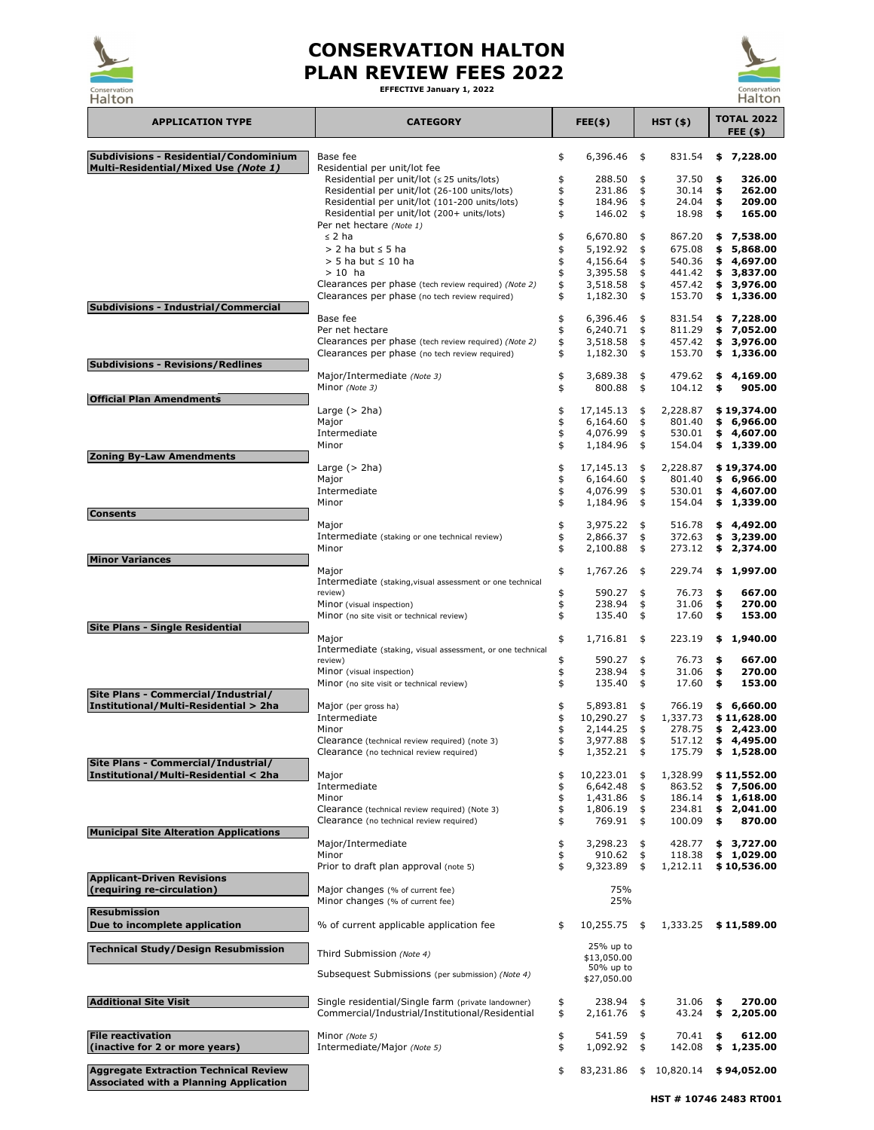| <b>Halton</b>                                                   |                                                                                                       |          |                          |                                |                    |          | Halton                         |
|-----------------------------------------------------------------|-------------------------------------------------------------------------------------------------------|----------|--------------------------|--------------------------------|--------------------|----------|--------------------------------|
| <b>APPLICATION TYPE</b>                                         | <b>CATEGORY</b>                                                                                       |          | $FEE($ \$)               |                                | $HST($ \$)         |          | <b>TOTAL 2022</b><br>FEE $(s)$ |
| <b>Subdivisions - Residential/Condominium</b>                   | Base fee                                                                                              | \$       | 6,396.46                 | \$                             | 831.54             | \$       | 7,228.00                       |
| Multi-Residential/Mixed Use (Note 1)                            | Residential per unit/lot fee<br>Residential per unit/lot $( \le 25 \text{ units/lots} )$              |          | 288.50                   | \$                             | 37.50              | \$       | 326.00                         |
|                                                                 | Residential per unit/lot (26-100 units/lots)                                                          |          | 231.86                   | \$                             | 30.14              | \$       | 262.00                         |
|                                                                 | Residential per unit/lot (101-200 units/lots)                                                         |          | 184.96                   | \$                             | 24.04              | \$       | 209.00                         |
|                                                                 | Residential per unit/lot (200+ units/lots)<br>Per net hectare (Note 1)                                |          | 146.02                   | \$                             | 18.98              | \$       | 165.00                         |
|                                                                 | $\leq$ 2 ha                                                                                           |          | 6,670.80                 | \$                             | 867.20             |          | \$7,538.00                     |
|                                                                 | $> 2$ ha but $\leq 5$ ha                                                                              |          | 5,192.92                 | \$                             | 675.08             | \$       | 5,868.00                       |
|                                                                 | $>$ 5 ha but $\leq$ 10 ha                                                                             |          | 4,156.64                 | \$                             | 540.36             | \$       | 4,697.00                       |
|                                                                 | $>10$ ha<br>Clearances per phase (tech review required) (Note 2)                                      |          | 3,395.58<br>3,518.58     | $\frac{1}{2}$<br>$\frac{1}{2}$ | 441.42<br>457.42   | \$       | 3,837.00<br>\$3,976.00         |
|                                                                 | Clearances per phase (no tech review required)                                                        |          | 1,182.30                 | \$                             | 153.70             |          | \$1,336.00                     |
| <b>Subdivisions - Industrial/Commercial</b>                     | Base fee                                                                                              |          | 6,396.46                 |                                | 831.54             |          |                                |
|                                                                 | Per net hectare                                                                                       |          | 6,240.71                 | \$<br>$\frac{1}{2}$            | 811.29             |          | \$7,228.00<br>\$7,052.00       |
|                                                                 | Clearances per phase (tech review required) (Note 2)                                                  |          | 3,518.58                 | $\frac{1}{2}$                  | 457.42             | \$       | 3,976.00                       |
| <b>Subdivisions - Revisions/Redlines</b>                        | Clearances per phase (no tech review required)                                                        | \$       | 1,182.30                 | $\frac{1}{2}$                  | 153.70             |          | \$1,336.00                     |
|                                                                 | Major/Intermediate (Note 3)                                                                           | \$       | 3,689.38                 | \$                             | 479.62             | \$       | 4,169.00                       |
|                                                                 | Minor (Note 3)                                                                                        | \$       | 800.88                   | \$                             | 104.12             | \$       | 905.00                         |
| <b>Official Plan Amendments</b>                                 | Large $($ 2ha)                                                                                        |          | 17,145.13                | \$                             | 2,228.87           |          | \$19,374.00                    |
|                                                                 | Major                                                                                                 | \$       | 6,164.60                 | $\frac{4}{5}$                  | 801.40             |          | \$6,966.00                     |
|                                                                 | Intermediate                                                                                          |          | 4,076.99                 | $\frac{4}{5}$                  | 530.01             |          | \$4,607.00                     |
| <b>Zoning By-Law Amendments</b>                                 | Minor                                                                                                 |          | 1,184.96                 | $\frac{1}{2}$                  | 154.04             |          | \$1,339.00                     |
|                                                                 | Large $($ 2ha)                                                                                        |          | 17,145.13                | \$                             | 2,228.87           |          | \$19,374.00                    |
|                                                                 | Major                                                                                                 |          | 6,164.60                 | $\frac{4}{5}$                  | 801.40             |          | \$6,966.00                     |
|                                                                 | Intermediate                                                                                          |          | 4,076.99<br>1,184.96     | \$<br>\$                       | 530.01<br>154.04   |          | \$4,607.00                     |
| <b>Consents</b>                                                 | Minor                                                                                                 |          |                          |                                |                    |          | \$1,339.00                     |
|                                                                 | Major                                                                                                 | \$       | $3,975.22$ \$            |                                | 516.78             |          | \$4,492.00                     |
|                                                                 | Intermediate (staking or one technical review)<br>Minor                                               |          | 2,866.37<br>2,100.88     | \$                             | 372.63<br>273.12   | \$<br>\$ | 3,239.00<br>2,374.00           |
| <b>Minor Variances</b>                                          |                                                                                                       |          |                          | \$                             |                    |          |                                |
|                                                                 | Major                                                                                                 | \$       | 1,767.26                 | \$                             | 229.74             | \$       | 1,997.00                       |
|                                                                 | Intermediate (staking, visual assessment or one technical<br>review)                                  |          | 590.27                   | \$                             | 76.73              | \$       | 667.00                         |
|                                                                 | Minor (visual inspection)                                                                             |          | 238.94                   | \$                             | 31.06              | \$       | 270.00                         |
|                                                                 | Minor (no site visit or technical review)                                                             |          | 135.40                   | \$                             | 17.60              | \$       | 153.00                         |
| <b>Site Plans - Single Residential</b>                          | Major                                                                                                 | \$       | 1,716.81                 | \$                             | 223.19             | \$       | 1,940.00                       |
|                                                                 | Intermediate (staking, visual assessment, or one technical                                            |          |                          |                                |                    |          |                                |
|                                                                 | review)<br>Minor (visual inspection)                                                                  | \$       | 590.27<br>238.94         | \$<br>\$                       | 76.73<br>31.06     | \$<br>\$ | 667.00<br>270.00               |
|                                                                 | Minor (no site visit or technical review)                                                             |          | 135.40                   | \$                             | 17.60              | \$       | 153.00                         |
| Site Plans - Commercial/Industrial/                             |                                                                                                       |          |                          |                                |                    |          |                                |
| Institutional/Multi-Residential > 2ha                           | Major (per gross ha)<br>Intermediate                                                                  | \$       | 5,893.81<br>10,290.27    | \$<br>\$                       | 766.19<br>1,337.73 |          | \$6,660.00<br>\$11,628.00      |
|                                                                 | Minor                                                                                                 |          | 2,144.25                 | \$                             | 278.75             |          | \$2,423.00                     |
|                                                                 | Clearance (technical review required) (note 3)                                                        |          | 3,977.88                 | $\frac{4}{5}$                  | 517.12             |          | \$4,495.00                     |
| Site Plans - Commercial/Industrial/                             | Clearance (no technical review required)                                                              |          | 1,352.21                 | $\frac{4}{5}$                  | 175.79             |          | \$1,528.00                     |
| Institutional/Multi-Residential < 2ha                           | Major                                                                                                 |          | 10,223.01                | \$                             | 1,328.99           |          | \$11,552.00                    |
|                                                                 | Intermediate                                                                                          |          | 6,642.48                 | \$                             | 863.52             |          | \$7,506.00                     |
|                                                                 | Minor<br>Clearance (technical review required) (Note 3)                                               |          | 1,431.86<br>1,806.19     | $\ddagger$<br>\$               | 186.14<br>234.81   | \$       | 1,618.00<br>2,041.00           |
|                                                                 | Clearance (no technical review required)                                                              |          | 769.91                   | \$                             | 100.09             | \$       | 870.00                         |
| <b>Municipal Site Alteration Applications</b>                   | Major/Intermediate                                                                                    | \$       | 3,298.23                 | \$                             | 428.77             |          | \$3,727.00                     |
|                                                                 | Minor                                                                                                 |          | 910.62                   | \$                             | 118.38             |          | \$1,029.00                     |
|                                                                 | Prior to draft plan approval (note 5)                                                                 |          | 9,323.89                 | $\frac{4}{5}$                  | 1,212.11           |          | \$10,536.00                    |
| <b>Applicant-Driven Revisions</b><br>(requiring re-circulation) | Major changes (% of current fee)                                                                      |          | 75%                      |                                |                    |          |                                |
|                                                                 | Minor changes (% of current fee)                                                                      |          | 25%                      |                                |                    |          |                                |
| <b>Resubmission</b>                                             |                                                                                                       |          |                          |                                |                    |          |                                |
| Due to incomplete application                                   | % of current applicable application fee                                                               | \$       | $10,255.75$ \$           |                                | 1,333.25           |          | \$11,589.00                    |
| <b>Technical Study/Design Resubmission</b>                      |                                                                                                       |          | 25% up to                |                                |                    |          |                                |
|                                                                 | Third Submission (Note 4)                                                                             |          | \$13,050.00<br>50% up to |                                |                    |          |                                |
|                                                                 | Subsequest Submissions (per submission) (Note 4)                                                      |          | \$27,050.00              |                                |                    |          |                                |
|                                                                 |                                                                                                       |          |                          |                                |                    |          |                                |
| <b>Additional Site Visit</b>                                    | Single residential/Single farm (private landowner)<br>Commercial/Industrial/Institutional/Residential | \$<br>\$ | 238.94<br>2,161.76       | \$<br>$\frac{4}{5}$            | 31.06<br>43.24     | \$<br>\$ | 270.00<br>2,205.00             |
|                                                                 |                                                                                                       |          |                          |                                |                    |          |                                |
| <b>File reactivation</b>                                        | Minor (Note 5)                                                                                        | \$       | 541.59                   | $\frac{4}{5}$                  | 70.41              | \$       | 612.00                         |
| (inactive for 2 or more years)                                  | Intermediate/Major (Note 5)                                                                           | \$       | 1,092.92                 | \$                             | 142.08             | \$       | 1,235.00                       |
| <b>Aggregate Extraction Technical Review</b>                    |                                                                                                       | \$       | 83,231.86                | \$                             | 10,820.14          |          | \$94,052.00                    |
| <b>Associated with a Planning Application</b>                   |                                                                                                       |          |                          |                                |                    |          |                                |



## **CONSERVATION HALTON PLAN REVIEW FEES 2022**

**EFFECTIVE January 1, 2022**



**HST # 10746 2483 RT001**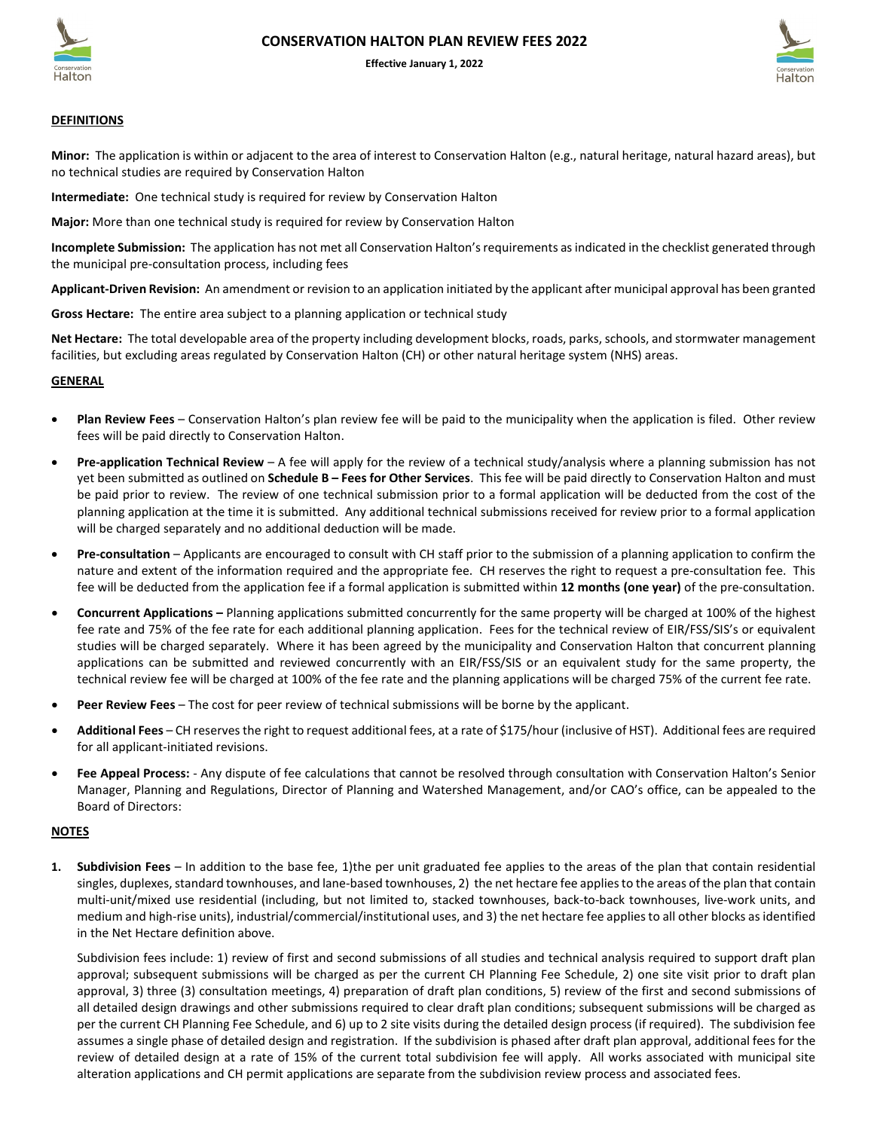



**Effective January 1, 2022**

## **DEFINITIONS**

**Minor:** The application is within or adjacent to the area of interest to Conservation Halton (e.g., natural heritage, natural hazard areas), but no technical studies are required by Conservation Halton

**Intermediate:** One technical study is required for review by Conservation Halton

**Major:** More than one technical study is required for review by Conservation Halton

**Incomplete Submission:** The application has not met all Conservation Halton's requirements as indicated in the checklist generated through the municipal pre-consultation process, including fees

**Applicant-Driven Revision:** An amendment or revision to an application initiated by the applicant after municipal approval has been granted

**Gross Hectare:** The entire area subject to a planning application or technical study

**Net Hectare:** The total developable area of the property including development blocks, roads, parks, schools, and stormwater management facilities, but excluding areas regulated by Conservation Halton (CH) or other natural heritage system (NHS) areas.

## **GENERAL**

- **Plan Review Fees** Conservation Halton's plan review fee will be paid to the municipality when the application is filed. Other review fees will be paid directly to Conservation Halton.
- **Pre-application Technical Review** A fee will apply for the review of a technical study/analysis where a planning submission has not yet been submitted as outlined on **Schedule B – Fees for Other Services**. This fee will be paid directly to Conservation Halton and must be paid prior to review. The review of one technical submission prior to a formal application will be deducted from the cost of the planning application at the time it is submitted. Any additional technical submissions received for review prior to a formal application will be charged separately and no additional deduction will be made.
- **Pre-consultation** Applicants are encouraged to consult with CH staff prior to the submission of a planning application to confirm the nature and extent of the information required and the appropriate fee. CH reserves the right to request a pre-consultation fee. This fee will be deducted from the application fee if a formal application is submitted within **12 months (one year)** of the pre-consultation.
- **Concurrent Applications –** Planning applications submitted concurrently for the same property will be charged at 100% of the highest fee rate and 75% of the fee rate for each additional planning application. Fees for the technical review of EIR/FSS/SIS's or equivalent studies will be charged separately. Where it has been agreed by the municipality and Conservation Halton that concurrent planning applications can be submitted and reviewed concurrently with an EIR/FSS/SIS or an equivalent study for the same property, the technical review fee will be charged at 100% of the fee rate and the planning applications will be charged 75% of the current fee rate.
- **Peer Review Fees** The cost for peer review of technical submissions will be borne by the applicant.
- **Additional Fees** CH reserves the right to request additional fees, at a rate of \$175/hour (inclusive of HST). Additional fees are required for all applicant-initiated revisions.
- **Fee Appeal Process:**  Any dispute of fee calculations that cannot be resolved through consultation with Conservation Halton's Senior Manager, Planning and Regulations, Director of Planning and Watershed Management, and/or CAO's office, can be appealed to the Board of Directors:

## **NOTES**

**1. Subdivision Fees** – In addition to the base fee, 1)the per unit graduated fee applies to the areas of the plan that contain residential singles, duplexes, standard townhouses, and lane-based townhouses, 2) the net hectare fee applies to the areas of the plan that contain multi-unit/mixed use residential (including, but not limited to, stacked townhouses, back-to-back townhouses, live-work units, and medium and high-rise units), industrial/commercial/institutional uses, and 3) the net hectare fee applies to all other blocks as identified in the Net Hectare definition above.

Subdivision fees include: 1) review of first and second submissions of all studies and technical analysis required to support draft plan approval; subsequent submissions will be charged as per the current CH Planning Fee Schedule, 2) one site visit prior to draft plan approval, 3) three (3) consultation meetings, 4) preparation of draft plan conditions, 5) review of the first and second submissions of all detailed design drawings and other submissions required to clear draft plan conditions; subsequent submissions will be charged as per the current CH Planning Fee Schedule, and 6) up to 2 site visits during the detailed design process (if required). The subdivision fee assumes a single phase of detailed design and registration. If the subdivision is phased after draft plan approval, additional fees for the review of detailed design at a rate of 15% of the current total subdivision fee will apply. All works associated with municipal site alteration applications and CH permit applications are separate from the subdivision review process and associated fees.